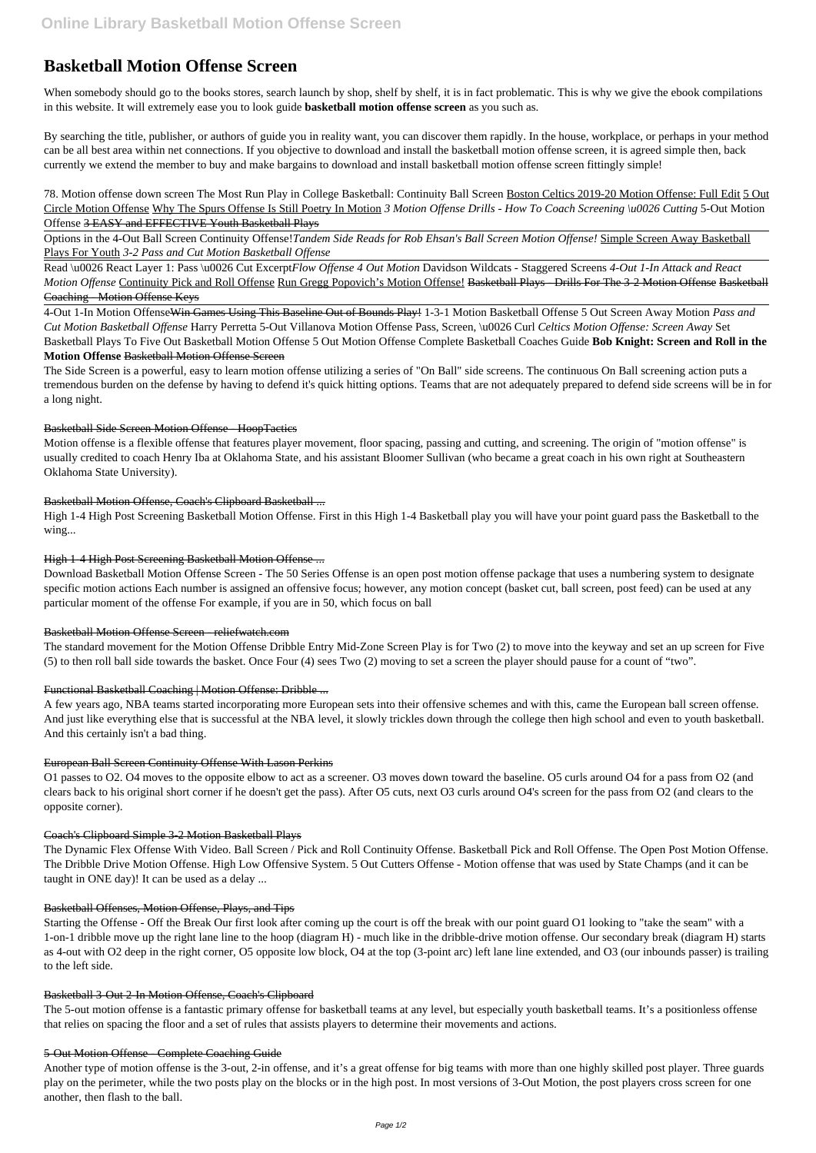# **Basketball Motion Offense Screen**

When somebody should go to the books stores, search launch by shop, shelf by shelf, it is in fact problematic. This is why we give the ebook compilations in this website. It will extremely ease you to look guide **basketball motion offense screen** as you such as.

By searching the title, publisher, or authors of guide you in reality want, you can discover them rapidly. In the house, workplace, or perhaps in your method can be all best area within net connections. If you objective to download and install the basketball motion offense screen, it is agreed simple then, back currently we extend the member to buy and make bargains to download and install basketball motion offense screen fittingly simple!

78. Motion offense down screen The Most Run Play in College Basketball: Continuity Ball Screen Boston Celtics 2019-20 Motion Offense: Full Edit 5 Out Circle Motion Offense Why The Spurs Offense Is Still Poetry In Motion *3 Motion Offense Drills - How To Coach Screening \u0026 Cutting* 5-Out Motion Offense 3 EASY and EFFECTIVE Youth Basketball Plays

Options in the 4-Out Ball Screen Continuity Offense!*Tandem Side Reads for Rob Ehsan's Ball Screen Motion Offense!* Simple Screen Away Basketball Plays For Youth *3-2 Pass and Cut Motion Basketball Offense*

Read \u0026 React Layer 1: Pass \u0026 Cut Excerpt*Flow Offense 4 Out Motion* Davidson Wildcats - Staggered Screens *4-Out 1-In Attack and React Motion Offense* Continuity Pick and Roll Offense Run Gregg Popovich's Motion Offense! Basketball Plays - Drills For The 3-2 Motion Offense Basketball Coaching - Motion Offense Keys

4-Out 1-In Motion OffenseWin Games Using This Baseline Out of Bounds Play! 1-3-1 Motion Basketball Offense 5 Out Screen Away Motion *Pass and Cut Motion Basketball Offense* Harry Perretta 5-Out Villanova Motion Offense Pass, Screen, \u0026 Curl *Celtics Motion Offense: Screen Away* Set Basketball Plays To Five Out Basketball Motion Offense 5 Out Motion Offense Complete Basketball Coaches Guide **Bob Knight: Screen and Roll in the Motion Offense** Basketball Motion Offense Screen

The Side Screen is a powerful, easy to learn motion offense utilizing a series of "On Ball" side screens. The continuous On Ball screening action puts a tremendous burden on the defense by having to defend it's quick hitting options. Teams that are not adequately prepared to defend side screens will be in for a long night.

# Basketball Side Screen Motion Offense - HoopTactics

Motion offense is a flexible offense that features player movement, floor spacing, passing and cutting, and screening. The origin of "motion offense" is usually credited to coach Henry Iba at Oklahoma State, and his assistant Bloomer Sullivan (who became a great coach in his own right at Southeastern Oklahoma State University).

# Basketball Motion Offense, Coach's Clipboard Basketball ...

High 1-4 High Post Screening Basketball Motion Offense. First in this High 1-4 Basketball play you will have your point guard pass the Basketball to the wing...

# High 1-4 High Post Screening Basketball Motion Offense ...

Download Basketball Motion Offense Screen - The 50 Series Offense is an open post motion offense package that uses a numbering system to designate specific motion actions Each number is assigned an offensive focus; however, any motion concept (basket cut, ball screen, post feed) can be used at any particular moment of the offense For example, if you are in 50, which focus on ball

# Basketball Motion Offense Screen - reliefwatch.com

The standard movement for the Motion Offense Dribble Entry Mid-Zone Screen Play is for Two (2) to move into the keyway and set an up screen for Five (5) to then roll ball side towards the basket. Once Four (4) sees Two (2) moving to set a screen the player should pause for a count of "two".

# Functional Basketball Coaching | Motion Offense: Dribble ...

A few years ago, NBA teams started incorporating more European sets into their offensive schemes and with this, came the European ball screen offense. And just like everything else that is successful at the NBA level, it slowly trickles down through the college then high school and even to youth basketball. And this certainly isn't a bad thing.

# European Ball Screen Continuity Offense With Lason Perkins

O1 passes to O2. O4 moves to the opposite elbow to act as a screener. O3 moves down toward the baseline. O5 curls around O4 for a pass from O2 (and clears back to his original short corner if he doesn't get the pass). After O5 cuts, next O3 curls around O4's screen for the pass from O2 (and clears to the opposite corner).

# Coach's Clipboard Simple 3-2 Motion Basketball Plays

The Dynamic Flex Offense With Video. Ball Screen / Pick and Roll Continuity Offense. Basketball Pick and Roll Offense. The Open Post Motion Offense. The Dribble Drive Motion Offense. High Low Offensive System. 5 Out Cutters Offense - Motion offense that was used by State Champs (and it can be

taught in ONE day)! It can be used as a delay ...

#### Basketball Offenses, Motion Offense, Plays, and Tips

Starting the Offense - Off the Break Our first look after coming up the court is off the break with our point guard O1 looking to "take the seam" with a 1-on-1 dribble move up the right lane line to the hoop (diagram H) - much like in the dribble-drive motion offense. Our secondary break (diagram H) starts as 4-out with O2 deep in the right corner, O5 opposite low block, O4 at the top (3-point arc) left lane line extended, and O3 (our inbounds passer) is trailing to the left side.

#### Basketball 3-Out 2-In Motion Offense, Coach's Clipboard

The 5-out motion offense is a fantastic primary offense for basketball teams at any level, but especially youth basketball teams. It's a positionless offense that relies on spacing the floor and a set of rules that assists players to determine their movements and actions.

#### 5-Out Motion Offense - Complete Coaching Guide

Another type of motion offense is the 3-out, 2-in offense, and it's a great offense for big teams with more than one highly skilled post player. Three guards play on the perimeter, while the two posts play on the blocks or in the high post. In most versions of 3-Out Motion, the post players cross screen for one another, then flash to the ball.